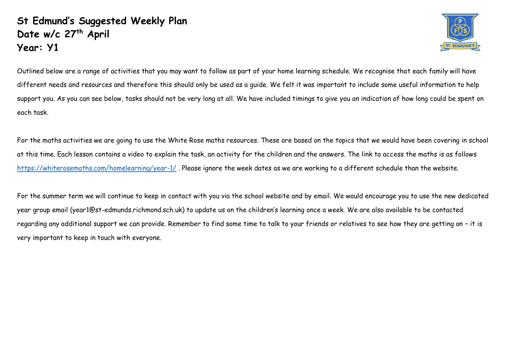## **St Edmund's Suggested Weekly Plan Date w/c 27 th April Year: Y1**



Outlined below are a range of activities that you may want to follow as part of your home learning schedule. We recognise that each family will have different needs and resources and therefore this should only be used as a guide. We felt it was important to include some useful information to help support you. As you can see below, tasks should not be very long at all. We have included timings to give you an indication of how long could be spent on each task.

For the maths activities we are going to use the White Rose maths resources. These are based on the topics that we would have been covering in school at this time. Each lesson contains a video to explain the task, an activity for the children and the answers. The link to access the maths is as follows <https://whiterosemaths.com/homelearning/year-1/> . Please ignore the week dates as we are working to a different schedule than the website.

For the summer term we will continue to keep in contact with you via the school website and by email. We would encourage you to use the new dedicated year group email (year1@st-edmunds.richmond.sch.uk) to update us on the children's learning once a week. We are also available to be contacted regarding any additional support we can provide. Remember to find some time to talk to your friends or relatives to see how they are getting on – it is very important to keep in touch with everyone.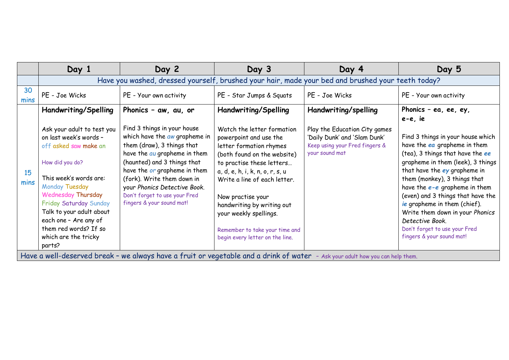|            | Day 1                                                                                                        | Day 2                                                                                                                                                                                                                                                                                  | Day 3                                                                                                                                                                            | Day 4                                                                            | Day 5                                                                                                                                                                                                                                          |  |
|------------|--------------------------------------------------------------------------------------------------------------|----------------------------------------------------------------------------------------------------------------------------------------------------------------------------------------------------------------------------------------------------------------------------------------|----------------------------------------------------------------------------------------------------------------------------------------------------------------------------------|----------------------------------------------------------------------------------|------------------------------------------------------------------------------------------------------------------------------------------------------------------------------------------------------------------------------------------------|--|
|            | Have you washed, dressed yourself, brushed your hair, made your bed and brushed your teeth today?            |                                                                                                                                                                                                                                                                                        |                                                                                                                                                                                  |                                                                                  |                                                                                                                                                                                                                                                |  |
| 30<br>mins | PE - Joe Wicks                                                                                               | PE - Your own activity                                                                                                                                                                                                                                                                 | PE - Star Jumps & Squats                                                                                                                                                         | PE - Joe Wicks                                                                   | PE - Your own activity                                                                                                                                                                                                                         |  |
|            | Handwriting/Spelling<br>Ask your adult to test you                                                           | Phonics - aw, au, or<br>Find 3 things in your house                                                                                                                                                                                                                                    | Handwriting/Spelling<br>Watch the letter formation                                                                                                                               | Handwriting/spelling<br>Play the Education City games                            | Phonics - ea, ee, ey,<br>e-e, ie                                                                                                                                                                                                               |  |
| 15<br>mins | on last week's words -<br>off asked saw make an                                                              | which have the aw grapheme in<br>them (draw), 3 things that<br>have the au grapheme in them<br>(haunted) and 3 things that<br>have the or grapheme in them<br>(fork). Write them down in<br>your Phonics Detective Book.<br>Don't forget to use your Fred<br>fingers & your sound mat! | powerpoint and use the<br>letter formation rhymes<br>(both found on the website)<br>to practise these letters<br>a, d, e, h, i, k, n, o, r, s, u<br>Write a line of each letter. | 'Daily Dunk' and 'Slam Dunk'<br>Keep using your Fred fingers &<br>your sound mat | Find 3 things in your house which<br>have the ea grapheme in them<br>(tea), 3 things that have the ee<br>grapheme in them (leek), 3 things<br>that have the ey grapheme in<br>them (monkey), 3 things that<br>have the $e$ -e grapheme in them |  |
|            | How did you do?<br>This week's words are:<br>Monday Tuesday                                                  |                                                                                                                                                                                                                                                                                        |                                                                                                                                                                                  |                                                                                  |                                                                                                                                                                                                                                                |  |
|            | <b>Wednesday Thursday</b><br>Friday Saturday Sunday<br>Talk to your adult about<br>each one - Are any of     |                                                                                                                                                                                                                                                                                        | Now practise your<br>handwriting by writing out<br>your weekly spellings.                                                                                                        |                                                                                  | (even) and 3 things that have the<br>ie grapheme in them (chief).<br>Write them down in your Phonics<br>Detective Book.                                                                                                                        |  |
|            | them red words? If so<br>which are the tricky<br>parts?<br>$\mathbf{H} = \mathbf{H}$<br><b>The Community</b> |                                                                                                                                                                                                                                                                                        | Remember to take your time and<br>begin every letter on the line.                                                                                                                |                                                                                  | Don't forget to use your Fred<br>fingers & your sound mat!                                                                                                                                                                                     |  |

Have a well-deserved break - we always have a fruit or vegetable and a drink of water - Ask your adult how you can help them.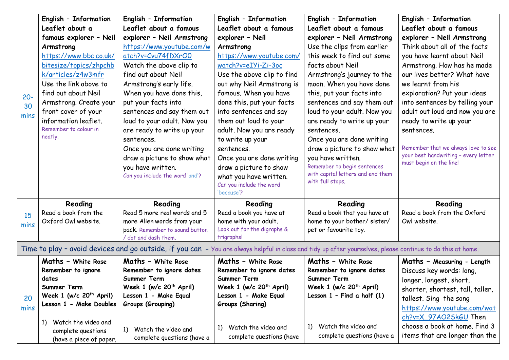| $20 -$<br>30<br>mins                                                                                                                                        | English - Information<br>Leaflet about a<br>famous explorer - Neil<br>Armstrong<br>https://www.bbc.co.uk/<br>bitesize/topics/zhpchb<br>k/articles/z4w3mfr<br>Use the link above to<br>find out about Neil<br>Armstrong. Create your<br>front cover of your | English - Information<br>Leaflet about a famous<br>explorer - Neil Armstrong<br>https://www.youtube.com/w<br>atch?v=Cvu74fDXrO0<br>Watch the above clip to<br>find out about Neil<br>Armstrong's early life.<br>When you have done this,<br>put your facts into<br>sentences and say them out | English - Information<br>Leaflet about a famous<br>explorer - Neil<br>Armstrong<br>https://www.youtube.com/<br>watch?v=eIYi-Zi-3oc<br>Use the above clip to find<br>out why Neil Armstrong is<br>famous. When you have<br>done this, put your facts<br>into sentences and say | English - Information<br>Leaflet about a famous<br>explorer - Neil Armstrong<br>Use the clips from earlier<br>this week to find out some<br>facts about Neil<br>Armstrong's journey to the<br>moon. When you have done<br>this, put your facts into<br>sentences and say them out<br>loud to your adult. Now you | English - Information<br>Leaflet about a famous<br>explorer - Neil Armstrong<br>Think about all of the facts<br>you have learnt about Neil<br>Armstrong. How has he made<br>our lives better? What have<br>we learnt from his<br>exploration? Put your ideas<br>into sentences by telling your<br>adult out loud and now you are |  |
|-------------------------------------------------------------------------------------------------------------------------------------------------------------|------------------------------------------------------------------------------------------------------------------------------------------------------------------------------------------------------------------------------------------------------------|-----------------------------------------------------------------------------------------------------------------------------------------------------------------------------------------------------------------------------------------------------------------------------------------------|-------------------------------------------------------------------------------------------------------------------------------------------------------------------------------------------------------------------------------------------------------------------------------|------------------------------------------------------------------------------------------------------------------------------------------------------------------------------------------------------------------------------------------------------------------------------------------------------------------|----------------------------------------------------------------------------------------------------------------------------------------------------------------------------------------------------------------------------------------------------------------------------------------------------------------------------------|--|
|                                                                                                                                                             | information leaflet.<br>Remember to colour in<br>neatly.                                                                                                                                                                                                   | loud to your adult. Now you<br>are ready to write up your<br>sentences.<br>Once you are done writing<br>draw a picture to show what<br>you have written.<br>Can you include the word 'and'?                                                                                                   | them out loud to your<br>adult. Now you are ready<br>to write up your<br>sentences.<br>Once you are done writing<br>draw a picture to show<br>what you have written.<br>Can you include the word<br>'because'?                                                                | are ready to write up your<br>sentences.<br>Once you are done writing<br>draw a picture to show what<br>you have written.<br>Remember to begin sentences<br>with capital letters and end them<br>with full stops.                                                                                                | ready to write up your<br>sentences.<br>Remember that we always love to see<br>your best handwriting - every letter<br>must begin on the line!                                                                                                                                                                                   |  |
| 15<br>mins                                                                                                                                                  | Reading<br>Read a book from the<br>Oxford Owl website.                                                                                                                                                                                                     | Reading<br>Read 5 more real words and 5<br>more Alien words from your<br>pack. Remember to sound button<br>/ dot and dash them.                                                                                                                                                               | Reading<br>Read a book you have at<br>home with your adult.<br>Look out for the digraphs &<br>trigraphs!                                                                                                                                                                      | Reading<br>Read a book that you have at<br>home to your bother/ sister/<br>pet or favourite toy.                                                                                                                                                                                                                 | Reading<br>Read a book from the Oxford<br>Owl website.                                                                                                                                                                                                                                                                           |  |
| Time to play - avoid devices and go outside, if you can - You are always helpful in class and tidy up after yourselves, please continue to do this at home. |                                                                                                                                                                                                                                                            |                                                                                                                                                                                                                                                                                               |                                                                                                                                                                                                                                                                               |                                                                                                                                                                                                                                                                                                                  |                                                                                                                                                                                                                                                                                                                                  |  |
| 20<br>mins                                                                                                                                                  | <b>Maths - White Rose</b><br>Remember to ignore<br>dates<br>Summer Term<br>Week 1 (w/c $20th$ April)<br>Lesson 1 - Make Doubles<br>Watch the video and<br>1)                                                                                               | Maths - White Rose<br>Remember to ignore dates<br>Summer Term<br>Week 1 (w/c $20th$ April)<br>Lesson 1 - Make Equal<br>Groups (Grouping)                                                                                                                                                      | Maths - White Rose<br>Remember to ignore dates<br>Summer Term<br>Week 1 (w/c 20 <sup>th</sup> April)<br>Lesson 1 - Make Equal<br>Groups (Sharing)                                                                                                                             | Maths - White Rose<br>Remember to ignore dates<br>Summer Term<br>Week 1 (w/c $20th$ April)<br>Lesson $1$ - Find a half $(1)$                                                                                                                                                                                     | Maths - Measuring - Length<br>Discuss key words: long,<br>longer, longest, short,<br>shorter, shortest, tall, taller,<br>tallest. Sing the song<br>https://www.youtube.com/wat<br>ch?v=X_97AO2SkGU Then                                                                                                                          |  |
|                                                                                                                                                             | complete questions<br>(have a piece of paper,                                                                                                                                                                                                              | Watch the video and<br>1)<br>complete questions (have a                                                                                                                                                                                                                                       | Watch the video and<br>1)<br>complete questions (have                                                                                                                                                                                                                         | Watch the video and<br>1)<br>complete questions (have a                                                                                                                                                                                                                                                          | choose a book at home. Find 3<br>items that are longer than the                                                                                                                                                                                                                                                                  |  |